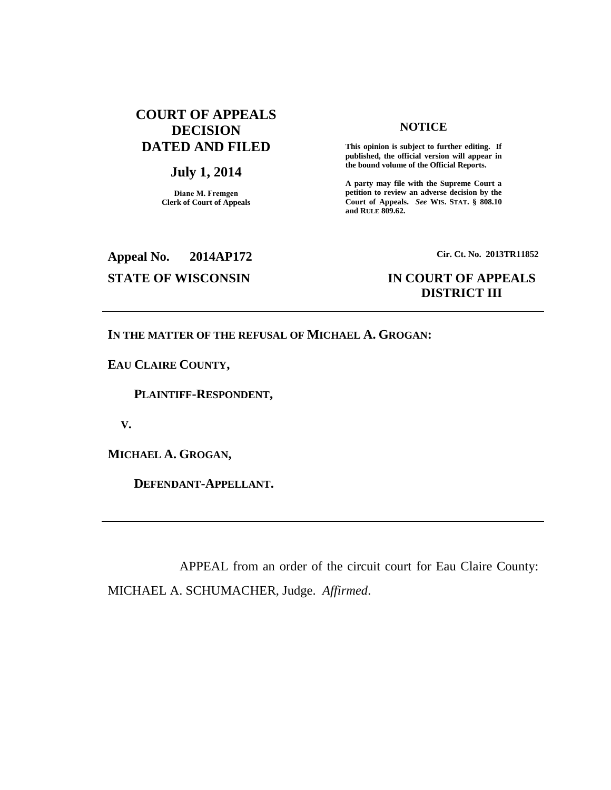# **COURT OF APPEALS DECISION DATED AND FILED**

## **July 1, 2014**

**Diane M. Fremgen Clerk of Court of Appeals**

### **NOTICE**

**This opinion is subject to further editing. If published, the official version will appear in the bound volume of the Official Reports.** 

**A party may file with the Supreme Court a petition to review an adverse decision by the Court of Appeals.** *See* **WIS. STAT. § 808.10 and RULE 809.62.** 

**Appeal No. 2014AP172 Cir. Ct. No. 2013TR11852**

## **STATE OF WISCONSIN IN COURT OF APPEALS DISTRICT III**

### **IN THE MATTER OF THE REFUSAL OF MICHAEL A. GROGAN:**

**EAU CLAIRE COUNTY,**

 **PLAINTIFF-RESPONDENT,**

 **V.**

**MICHAEL A. GROGAN,**

 **DEFENDANT-APPELLANT.**

APPEAL from an order of the circuit court for Eau Claire County: MICHAEL A. SCHUMACHER, Judge. *Affirmed*.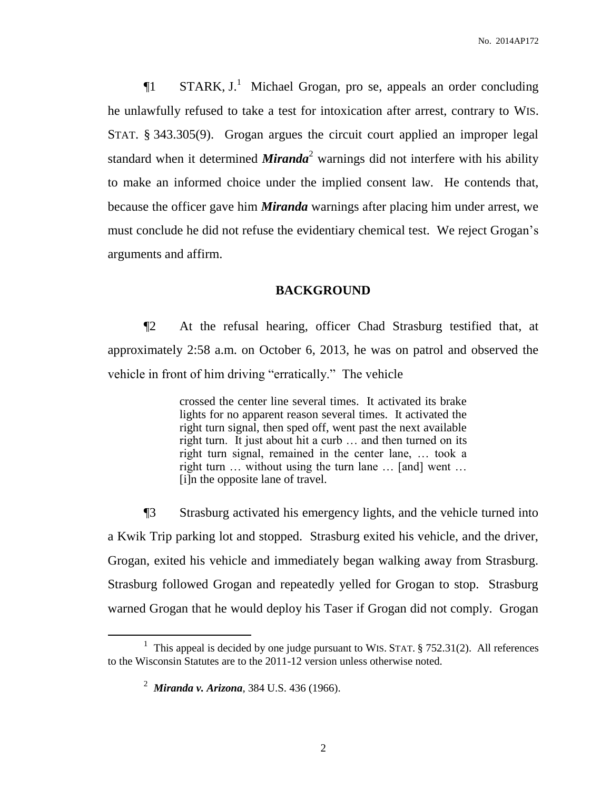$\P1$  STARK, J.<sup>1</sup> Michael Grogan, pro se, appeals an order concluding he unlawfully refused to take a test for intoxication after arrest, contrary to WIS. STAT. § 343.305(9). Grogan argues the circuit court applied an improper legal standard when it determined *Miranda*<sup>2</sup> warnings did not interfere with his ability to make an informed choice under the implied consent law. He contends that, because the officer gave him *Miranda* warnings after placing him under arrest, we must conclude he did not refuse the evidentiary chemical test. We reject Grogan's arguments and affirm.

## **BACKGROUND**

¶2 At the refusal hearing, officer Chad Strasburg testified that, at approximately 2:58 a.m. on October 6, 2013, he was on patrol and observed the vehicle in front of him driving "erratically." The vehicle

> crossed the center line several times. It activated its brake lights for no apparent reason several times. It activated the right turn signal, then sped off, went past the next available right turn. It just about hit a curb … and then turned on its right turn signal, remained in the center lane, … took a right turn … without using the turn lane … [and] went … [i]n the opposite lane of travel.

¶3 Strasburg activated his emergency lights, and the vehicle turned into a Kwik Trip parking lot and stopped. Strasburg exited his vehicle, and the driver, Grogan, exited his vehicle and immediately began walking away from Strasburg. Strasburg followed Grogan and repeatedly yelled for Grogan to stop. Strasburg warned Grogan that he would deploy his Taser if Grogan did not comply. Grogan

 $\overline{a}$ 

<sup>&</sup>lt;sup>1</sup> This appeal is decided by one judge pursuant to WIS. STAT.  $\S$  752.31(2). All references to the Wisconsin Statutes are to the 2011-12 version unless otherwise noted.

<sup>2</sup> *Miranda v. Arizona*, 384 U.S. 436 (1966).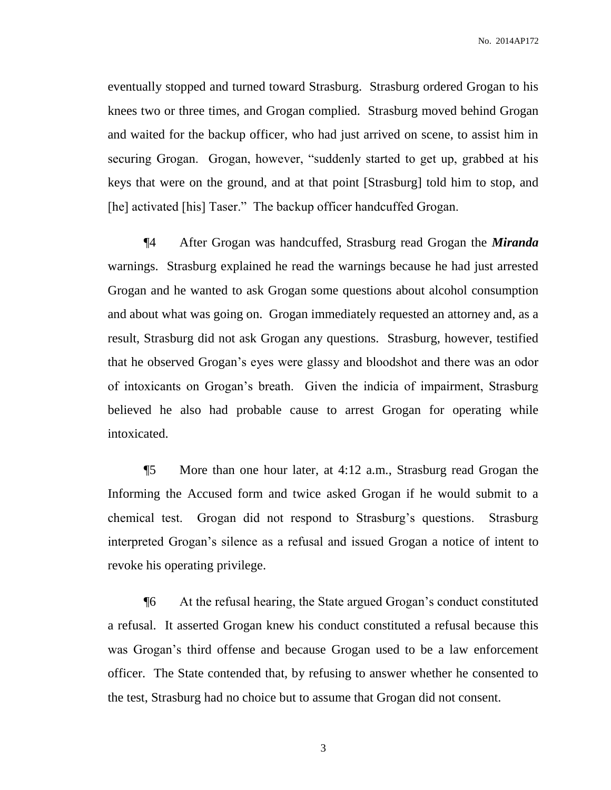eventually stopped and turned toward Strasburg. Strasburg ordered Grogan to his knees two or three times, and Grogan complied. Strasburg moved behind Grogan and waited for the backup officer, who had just arrived on scene, to assist him in securing Grogan. Grogan, however, "suddenly started to get up, grabbed at his keys that were on the ground, and at that point [Strasburg] told him to stop, and [he] activated [his] Taser." The backup officer handcuffed Grogan.

¶4 After Grogan was handcuffed, Strasburg read Grogan the *Miranda* warnings. Strasburg explained he read the warnings because he had just arrested Grogan and he wanted to ask Grogan some questions about alcohol consumption and about what was going on. Grogan immediately requested an attorney and, as a result, Strasburg did not ask Grogan any questions. Strasburg, however, testified that he observed Grogan's eyes were glassy and bloodshot and there was an odor of intoxicants on Grogan's breath. Given the indicia of impairment, Strasburg believed he also had probable cause to arrest Grogan for operating while intoxicated.

¶5 More than one hour later, at 4:12 a.m., Strasburg read Grogan the Informing the Accused form and twice asked Grogan if he would submit to a chemical test. Grogan did not respond to Strasburg's questions. Strasburg interpreted Grogan's silence as a refusal and issued Grogan a notice of intent to revoke his operating privilege.

¶6 At the refusal hearing, the State argued Grogan's conduct constituted a refusal. It asserted Grogan knew his conduct constituted a refusal because this was Grogan's third offense and because Grogan used to be a law enforcement officer. The State contended that, by refusing to answer whether he consented to the test, Strasburg had no choice but to assume that Grogan did not consent.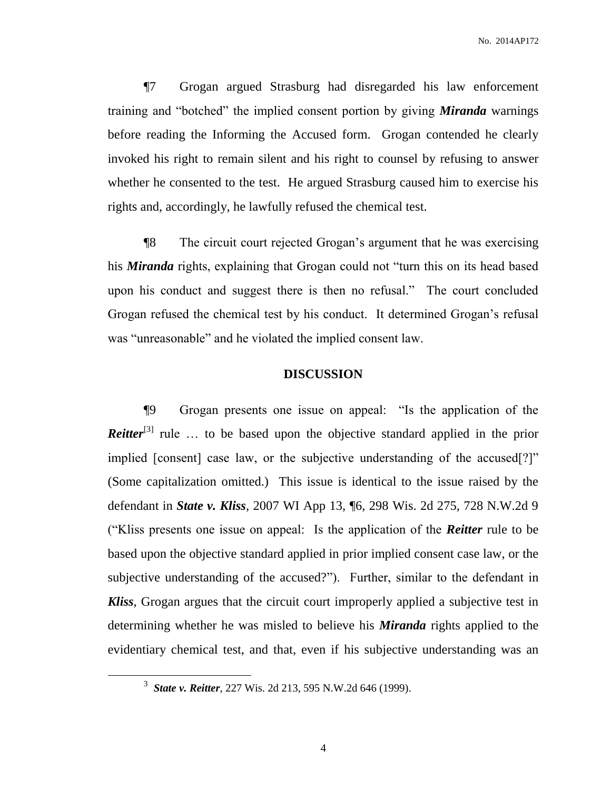¶7 Grogan argued Strasburg had disregarded his law enforcement training and "botched" the implied consent portion by giving *Miranda* warnings before reading the Informing the Accused form. Grogan contended he clearly invoked his right to remain silent and his right to counsel by refusing to answer whether he consented to the test. He argued Strasburg caused him to exercise his rights and, accordingly, he lawfully refused the chemical test.

¶8 The circuit court rejected Grogan's argument that he was exercising his *Miranda* rights, explaining that Grogan could not "turn this on its head based upon his conduct and suggest there is then no refusal." The court concluded Grogan refused the chemical test by his conduct. It determined Grogan's refusal was "unreasonable" and he violated the implied consent law.

### **DISCUSSION**

¶9 Grogan presents one issue on appeal: "Is the application of the *Reitter*<sup>[3]</sup> rule ... to be based upon the objective standard applied in the prior implied [consent] case law, or the subjective understanding of the accused[?]" (Some capitalization omitted.) This issue is identical to the issue raised by the defendant in *State v. Kliss*, 2007 WI App 13, ¶6, 298 Wis. 2d 275, 728 N.W.2d 9 ("Kliss presents one issue on appeal: Is the application of the *Reitter* rule to be based upon the objective standard applied in prior implied consent case law, or the subjective understanding of the accused?"). Further, similar to the defendant in *Kliss*, Grogan argues that the circuit court improperly applied a subjective test in determining whether he was misled to believe his *Miranda* rights applied to the evidentiary chemical test, and that, even if his subjective understanding was an

 $\overline{a}$ 

<sup>3</sup> *State v. Reitter*, 227 Wis. 2d 213, 595 N.W.2d 646 (1999).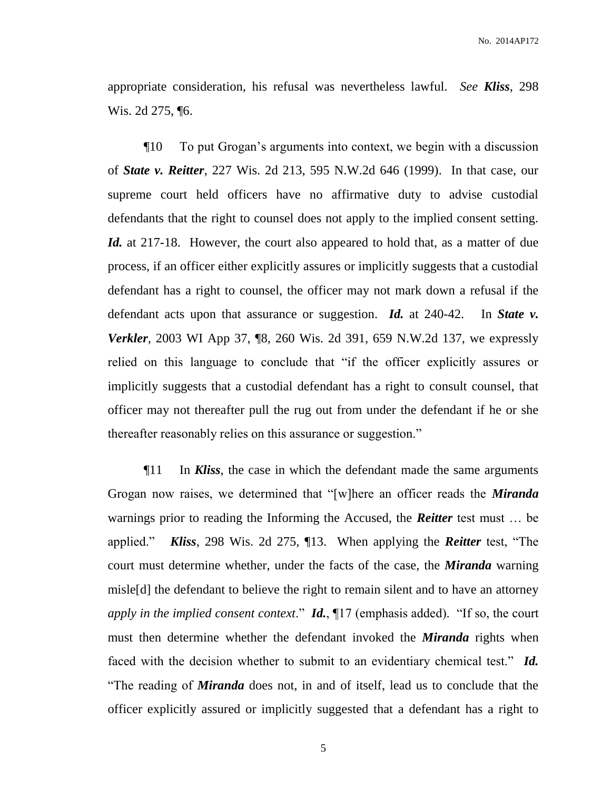appropriate consideration, his refusal was nevertheless lawful. *See Kliss*, 298 Wis. 2d 275, ¶6.

¶10 To put Grogan's arguments into context, we begin with a discussion of *State v. Reitter*, 227 Wis. 2d 213, 595 N.W.2d 646 (1999). In that case, our supreme court held officers have no affirmative duty to advise custodial defendants that the right to counsel does not apply to the implied consent setting. *Id.* at 217-18. However, the court also appeared to hold that, as a matter of due process, if an officer either explicitly assures or implicitly suggests that a custodial defendant has a right to counsel, the officer may not mark down a refusal if the defendant acts upon that assurance or suggestion. *Id.* at 240-42. In *State v. Verkler*, 2003 WI App 37, [8, 260 Wis. 2d 391, 659 N.W.2d 137, we expressly relied on this language to conclude that "if the officer explicitly assures or implicitly suggests that a custodial defendant has a right to consult counsel, that officer may not thereafter pull the rug out from under the defendant if he or she thereafter reasonably relies on this assurance or suggestion."

¶11 In *Kliss*, the case in which the defendant made the same arguments Grogan now raises, we determined that "[w]here an officer reads the *Miranda* warnings prior to reading the Informing the Accused, the *Reitter* test must … be applied." *Kliss*, 298 Wis. 2d 275, ¶13. When applying the *Reitter* test, "The court must determine whether, under the facts of the case, the *Miranda* warning misle[d] the defendant to believe the right to remain silent and to have an attorney *apply in the implied consent context*." *Id.*, ¶17 (emphasis added). "If so, the court must then determine whether the defendant invoked the *Miranda* rights when faced with the decision whether to submit to an evidentiary chemical test." *Id.* "The reading of *Miranda* does not, in and of itself, lead us to conclude that the officer explicitly assured or implicitly suggested that a defendant has a right to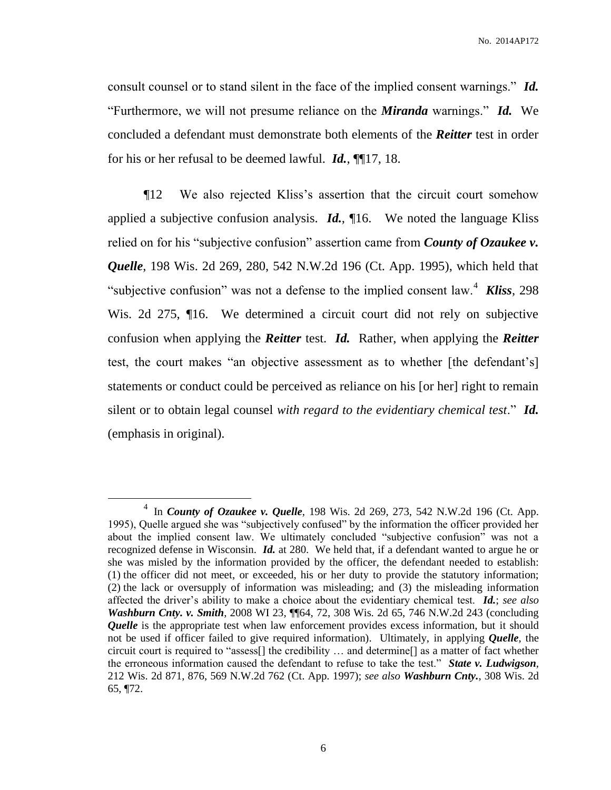consult counsel or to stand silent in the face of the implied consent warnings." *Id.* "Furthermore, we will not presume reliance on the *Miranda* warnings." *Id.*We concluded a defendant must demonstrate both elements of the *Reitter* test in order for his or her refusal to be deemed lawful. *Id.*, ¶¶17, 18.

¶12 We also rejected Kliss's assertion that the circuit court somehow applied a subjective confusion analysis. *Id.*, ¶16. We noted the language Kliss relied on for his "subjective confusion" assertion came from *County of Ozaukee v. Quelle*, 198 Wis. 2d 269, 280, 542 N.W.2d 196 (Ct. App. 1995), which held that "subjective confusion" was not a defense to the implied consent law.<sup>4</sup> **Kliss**, 298 Wis. 2d 275,  $\P$ 16. We determined a circuit court did not rely on subjective confusion when applying the *Reitter* test. *Id.* Rather, when applying the *Reitter* test, the court makes "an objective assessment as to whether [the defendant's] statements or conduct could be perceived as reliance on his [or her] right to remain silent or to obtain legal counsel *with regard to the evidentiary chemical test*." *Id.* (emphasis in original).

 $\overline{a}$ 

<sup>4</sup> In *County of Ozaukee v. Quelle*, 198 Wis. 2d 269, 273, 542 N.W.2d 196 (Ct. App. 1995), Quelle argued she was "subjectively confused" by the information the officer provided her about the implied consent law. We ultimately concluded "subjective confusion" was not a recognized defense in Wisconsin. *Id.* at 280. We held that, if a defendant wanted to argue he or she was misled by the information provided by the officer, the defendant needed to establish: (1) the officer did not meet, or exceeded, his or her duty to provide the statutory information; (2) the lack or oversupply of information was misleading; and (3) the misleading information affected the driver's ability to make a choice about the evidentiary chemical test. *Id.*; *see also Washburn Cnty. v. Smith*, 2008 WI 23, ¶¶64, 72, 308 Wis. 2d 65, 746 N.W.2d 243 (concluding *Quelle* is the appropriate test when law enforcement provides excess information, but it should not be used if officer failed to give required information). Ultimately, in applying *Quelle*, the circuit court is required to "assess[] the credibility … and determine[] as a matter of fact whether the erroneous information caused the defendant to refuse to take the test." *State v. Ludwigson*, 212 Wis. 2d 871, 876, 569 N.W.2d 762 (Ct. App. 1997); *see also Washburn Cnty.*, 308 Wis. 2d 65, ¶72.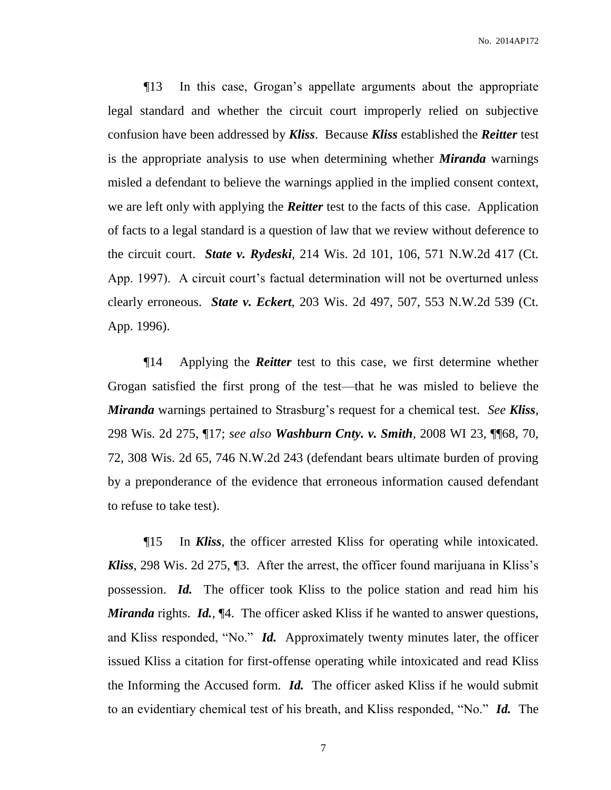¶13 In this case, Grogan's appellate arguments about the appropriate legal standard and whether the circuit court improperly relied on subjective confusion have been addressed by *Kliss*. Because *Kliss* established the *Reitter* test is the appropriate analysis to use when determining whether *Miranda* warnings misled a defendant to believe the warnings applied in the implied consent context, we are left only with applying the *Reitter* test to the facts of this case. Application of facts to a legal standard is a question of law that we review without deference to the circuit court. *State v. Rydeski*, 214 Wis. 2d 101, 106, 571 N.W.2d 417 (Ct. App. 1997). A circuit court's factual determination will not be overturned unless clearly erroneous. *State v. Eckert*, 203 Wis. 2d 497, 507, 553 N.W.2d 539 (Ct. App. 1996).

¶14 Applying the *Reitter* test to this case, we first determine whether Grogan satisfied the first prong of the test—that he was misled to believe the *Miranda* warnings pertained to Strasburg's request for a chemical test. *See Kliss*, 298 Wis. 2d 275, ¶17; *see also Washburn Cnty. v. Smith*, 2008 WI 23, ¶¶68, 70, 72, 308 Wis. 2d 65, 746 N.W.2d 243 (defendant bears ultimate burden of proving by a preponderance of the evidence that erroneous information caused defendant to refuse to take test).

¶15 In *Kliss*, the officer arrested Kliss for operating while intoxicated. *Kliss*, 298 Wis. 2d 275, ¶3.After the arrest, the officer found marijuana in Kliss's possession. *Id.* The officer took Kliss to the police station and read him his *Miranda* rights. *Id.*, [4.] The officer asked Kliss if he wanted to answer questions, and Kliss responded, "No." *Id.* Approximately twenty minutes later, the officer issued Kliss a citation for first-offense operating while intoxicated and read Kliss the Informing the Accused form. *Id.* The officer asked Kliss if he would submit to an evidentiary chemical test of his breath, and Kliss responded, "No." *Id.* The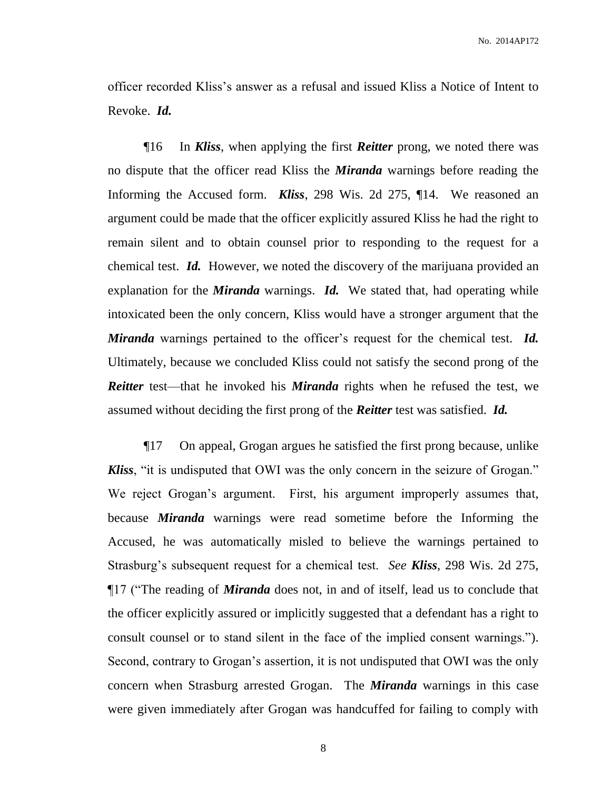officer recorded Kliss's answer as a refusal and issued Kliss a Notice of Intent to Revoke. *Id.*

¶16 In *Kliss*, when applying the first *Reitter* prong, we noted there was no dispute that the officer read Kliss the *Miranda* warnings before reading the Informing the Accused form. *Kliss*, 298 Wis. 2d 275, ¶14.We reasoned an argument could be made that the officer explicitly assured Kliss he had the right to remain silent and to obtain counsel prior to responding to the request for a chemical test. *Id.* However, we noted the discovery of the marijuana provided an explanation for the *Miranda* warnings. *Id.* We stated that, had operating while intoxicated been the only concern, Kliss would have a stronger argument that the *Miranda* warnings pertained to the officer's request for the chemical test. *Id.*  Ultimately, because we concluded Kliss could not satisfy the second prong of the *Reitter* test—that he invoked his *Miranda* rights when he refused the test, we assumed without deciding the first prong of the *Reitter* test was satisfied. *Id.*

¶17 On appeal, Grogan argues he satisfied the first prong because, unlike *Kliss*, "it is undisputed that OWI was the only concern in the seizure of Grogan." We reject Grogan's argument. First, his argument improperly assumes that, because *Miranda* warnings were read sometime before the Informing the Accused, he was automatically misled to believe the warnings pertained to Strasburg's subsequent request for a chemical test. *See Kliss*, 298 Wis. 2d 275, ¶17 ("The reading of *Miranda* does not, in and of itself, lead us to conclude that the officer explicitly assured or implicitly suggested that a defendant has a right to consult counsel or to stand silent in the face of the implied consent warnings."). Second, contrary to Grogan's assertion, it is not undisputed that OWI was the only concern when Strasburg arrested Grogan. The *Miranda* warnings in this case were given immediately after Grogan was handcuffed for failing to comply with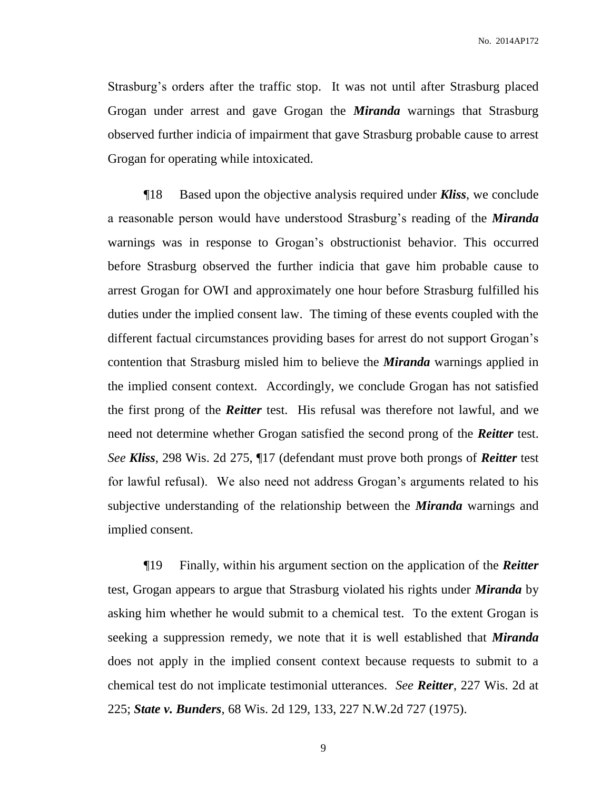Strasburg's orders after the traffic stop. It was not until after Strasburg placed Grogan under arrest and gave Grogan the *Miranda* warnings that Strasburg observed further indicia of impairment that gave Strasburg probable cause to arrest Grogan for operating while intoxicated.

¶18 Based upon the objective analysis required under *Kliss*, we conclude a reasonable person would have understood Strasburg's reading of the *Miranda* warnings was in response to Grogan's obstructionist behavior. This occurred before Strasburg observed the further indicia that gave him probable cause to arrest Grogan for OWI and approximately one hour before Strasburg fulfilled his duties under the implied consent law. The timing of these events coupled with the different factual circumstances providing bases for arrest do not support Grogan's contention that Strasburg misled him to believe the *Miranda* warnings applied in the implied consent context. Accordingly, we conclude Grogan has not satisfied the first prong of the *Reitter* test. His refusal was therefore not lawful, and we need not determine whether Grogan satisfied the second prong of the *Reitter* test. *See Kliss*, 298 Wis. 2d 275, ¶17 (defendant must prove both prongs of *Reitter* test for lawful refusal). We also need not address Grogan's arguments related to his subjective understanding of the relationship between the *Miranda* warnings and implied consent.

¶19 Finally, within his argument section on the application of the *Reitter* test, Grogan appears to argue that Strasburg violated his rights under *Miranda* by asking him whether he would submit to a chemical test. To the extent Grogan is seeking a suppression remedy, we note that it is well established that *Miranda* does not apply in the implied consent context because requests to submit to a chemical test do not implicate testimonial utterances. *See Reitter*, 227 Wis. 2d at 225; *State v. Bunders*, 68 Wis. 2d 129, 133, 227 N.W.2d 727 (1975).